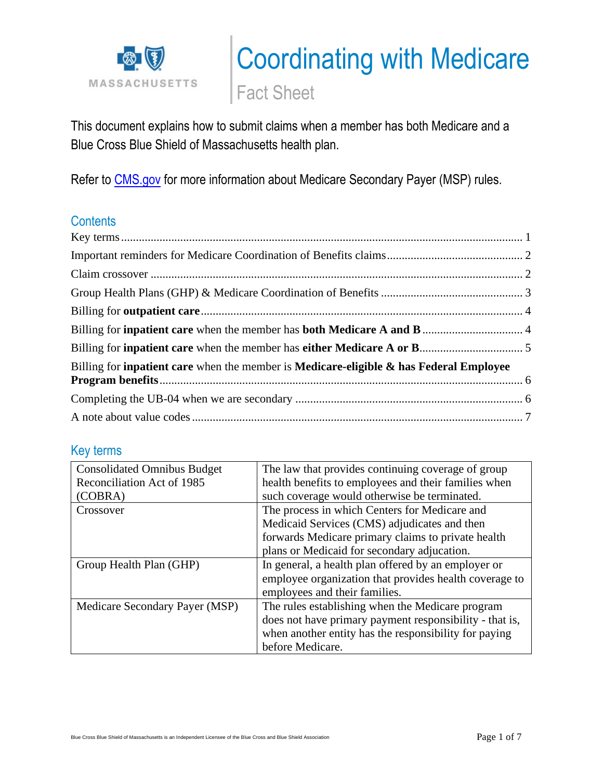

# Coordinating with Medicare

Fact Sheet

This document explains how to submit claims when a member has both Medicare and a Blue Cross Blue Shield of Massachusetts health plan.

Refer to [CMS.gov](https://www.cms.gov/Medicare/Coordination-of-Benefits-and-Recovery/Coordination-of-Benefits-and-Recovery-Overview/Medicare-Secondary-Payer/Medicare-Secondary-Payer.html) for more information about Medicare Secondary Payer (MSP) rules.

## **Contents**

| Billing for <b>inpatient care</b> when the member is <b>Medicare-eligible &amp; has Federal Employee</b> |  |
|----------------------------------------------------------------------------------------------------------|--|
|                                                                                                          |  |
|                                                                                                          |  |

## <span id="page-0-0"></span>Key terms

| <b>Consolidated Omnibus Budget</b> | The law that provides continuing coverage of group      |
|------------------------------------|---------------------------------------------------------|
| Reconciliation Act of 1985         | health benefits to employees and their families when    |
| (COBRA)                            | such coverage would otherwise be terminated.            |
| Crossover                          | The process in which Centers for Medicare and           |
|                                    | Medicaid Services (CMS) adjudicates and then            |
|                                    | forwards Medicare primary claims to private health      |
|                                    | plans or Medicaid for secondary adjucation.             |
| Group Health Plan (GHP)            | In general, a health plan offered by an employer or     |
|                                    | employee organization that provides health coverage to  |
|                                    | employees and their families.                           |
| Medicare Secondary Payer (MSP)     | The rules establishing when the Medicare program        |
|                                    | does not have primary payment responsibility - that is, |
|                                    | when another entity has the responsibility for paying   |
|                                    | before Medicare.                                        |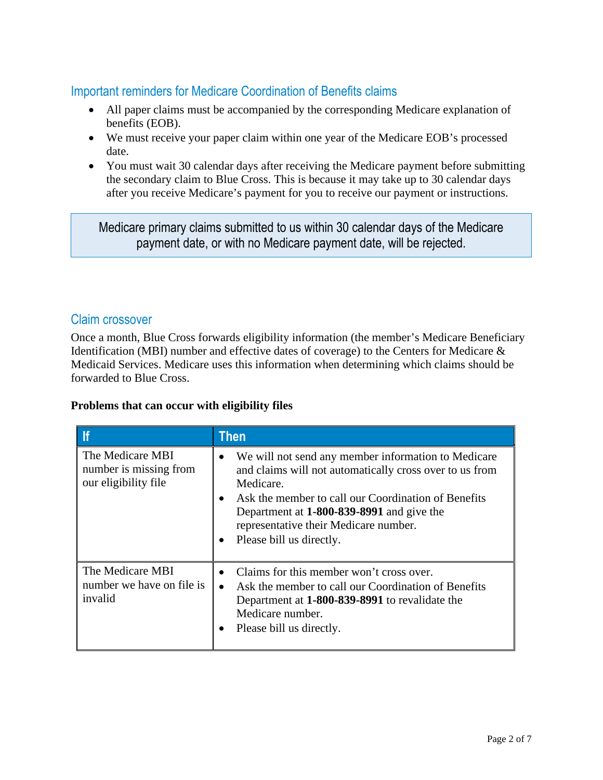## <span id="page-1-0"></span>Important reminders for Medicare Coordination of Benefits claims

- All paper claims must be accompanied by the corresponding Medicare explanation of benefits (EOB).
- We must receive your paper claim within one year of the Medicare EOB's processed date.
- You must wait 30 calendar days after receiving the Medicare payment before submitting the secondary claim to Blue Cross. This is because it may take up to 30 calendar days after you receive Medicare's payment for you to receive our payment or instructions.

Medicare primary claims submitted to us within 30 calendar days of the Medicare payment date, or with no Medicare payment date, will be rejected.

#### <span id="page-1-1"></span>Claim crossover

Once a month, Blue Cross forwards eligibility information (the member's Medicare Beneficiary Identification (MBI) number and effective dates of coverage) to the Centers for Medicare & Medicaid Services. Medicare uses this information when determining which claims should be forwarded to Blue Cross.

#### **Problems that can occur with eligibility files**

|                                                                    | <b>Then</b>                                                                                                                                                                                                                                                                                          |
|--------------------------------------------------------------------|------------------------------------------------------------------------------------------------------------------------------------------------------------------------------------------------------------------------------------------------------------------------------------------------------|
| The Medicare MBI<br>number is missing from<br>our eligibility file | We will not send any member information to Medicare<br>and claims will not automatically cross over to us from<br>Medicare.<br>Ask the member to call our Coordination of Benefits<br>Department at 1-800-839-8991 and give the<br>representative their Medicare number.<br>Please bill us directly. |
| The Medicare MBI<br>number we have on file is<br>invalid           | Claims for this member won't cross over.<br>Ask the member to call our Coordination of Benefits<br>Department at 1-800-839-8991 to revalidate the<br>Medicare number.<br>Please bill us directly.                                                                                                    |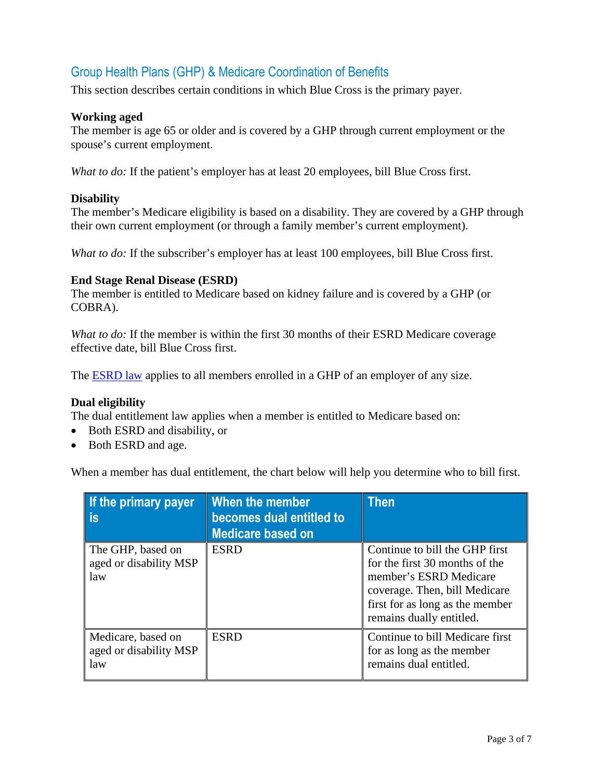## <span id="page-2-0"></span>Group Health Plans (GHP) & Medicare Coordination of Benefits

This section describes certain conditions in which Blue Cross is the primary payer.

#### **Working aged**

The member is age 65 or older and is covered by a GHP through current employment or the spouse's current employment.

*What to do:* If the patient's employer has at least 20 employees, bill Blue Cross first.

#### **Disability**

The member's Medicare eligibility is based on a disability. They are covered by a GHP through their own current employment (or through a family member's current employment).

*What to do:* If the subscriber's employer has at least 100 employees, bill Blue Cross first.

#### **End Stage Renal Disease (ESRD)**

The member is entitled to Medicare based on kidney failure and is covered by a GHP (or COBRA).

*What to do:* If the member is within the first 30 months of their ESRD Medicare coverage effective date, bill Blue Cross first.

The [ESRD law](https://www.cms.gov/Medicare/Coordination-of-Benefits-and-Recovery/Coordination-of-Benefits-and-Recovery-Overview/End-Stage-Renal-Disease-ESRD/ESRD.html) applies to all members enrolled in a GHP of an employer of any size.

#### **Dual eligibility**

The dual entitlement law applies when a member is entitled to Medicare based on:

- Both ESRD and disability, or
- Both ESRD and age.

When a member has dual entitlement, the chart below will help you determine who to bill first.

| If the primary payer<br><b>is</b>                   | When the member<br>becomes dual entitled to<br><b>Medicare based on</b> | Then                                                                                                                                                                                       |
|-----------------------------------------------------|-------------------------------------------------------------------------|--------------------------------------------------------------------------------------------------------------------------------------------------------------------------------------------|
| The GHP, based on<br>aged or disability MSP<br>law  | <b>ESRD</b>                                                             | Continue to bill the GHP first<br>for the first 30 months of the<br>member's ESRD Medicare<br>coverage. Then, bill Medicare<br>first for as long as the member<br>remains dually entitled. |
| Medicare, based on<br>aged or disability MSP<br>law | <b>ESRD</b>                                                             | Continue to bill Medicare first<br>for as long as the member<br>remains dual entitled.                                                                                                     |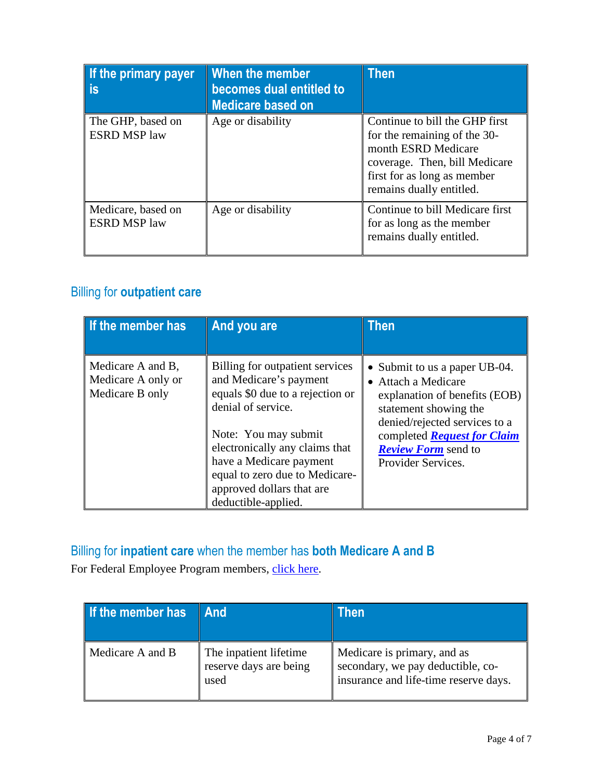| If the primary payer<br>is                | When the member<br>becomes dual entitled to<br><b>Medicare based on</b> | <b>Then</b>                                                                                                                                                                       |
|-------------------------------------------|-------------------------------------------------------------------------|-----------------------------------------------------------------------------------------------------------------------------------------------------------------------------------|
| The GHP, based on<br><b>ESRD MSP law</b>  | Age or disability                                                       | Continue to bill the GHP first<br>for the remaining of the 30-<br>month ESRD Medicare<br>coverage. Then, bill Medicare<br>first for as long as member<br>remains dually entitled. |
| Medicare, based on<br><b>ESRD MSP law</b> | Age or disability                                                       | Continue to bill Medicare first<br>for as long as the member<br>remains dually entitled.                                                                                          |

# <span id="page-3-0"></span>Billing for **outpatient care**

| If the member has                                          | And you are                                                                                                                                                                                                                                                                                    | Then                                                                                                                                                                                                                                      |
|------------------------------------------------------------|------------------------------------------------------------------------------------------------------------------------------------------------------------------------------------------------------------------------------------------------------------------------------------------------|-------------------------------------------------------------------------------------------------------------------------------------------------------------------------------------------------------------------------------------------|
| Medicare A and B,<br>Medicare A only or<br>Medicare B only | Billing for outpatient services<br>and Medicare's payment<br>equals \$0 due to a rejection or<br>denial of service.<br>Note: You may submit<br>electronically any claims that<br>have a Medicare payment<br>equal to zero due to Medicare-<br>approved dollars that are<br>deductible-applied. | • Submit to us a paper UB-04.<br>• Attach a Medicare<br>explanation of benefits (EOB)<br>statement showing the<br>denied/rejected services to a<br>completed <b>Request for Claim</b><br><b>Review Form</b> send to<br>Provider Services. |

# <span id="page-3-1"></span>Billing for **inpatient care** when the member has **both Medicare A and B**

For Federal Employee Program members, [click here.](#page-5-0)

| If the member has | <b>And</b>                                               | Then                                                                                                      |
|-------------------|----------------------------------------------------------|-----------------------------------------------------------------------------------------------------------|
| Medicare A and B  | The inpatient lifetime<br>reserve days are being<br>used | Medicare is primary, and as<br>secondary, we pay deductible, co-<br>insurance and life-time reserve days. |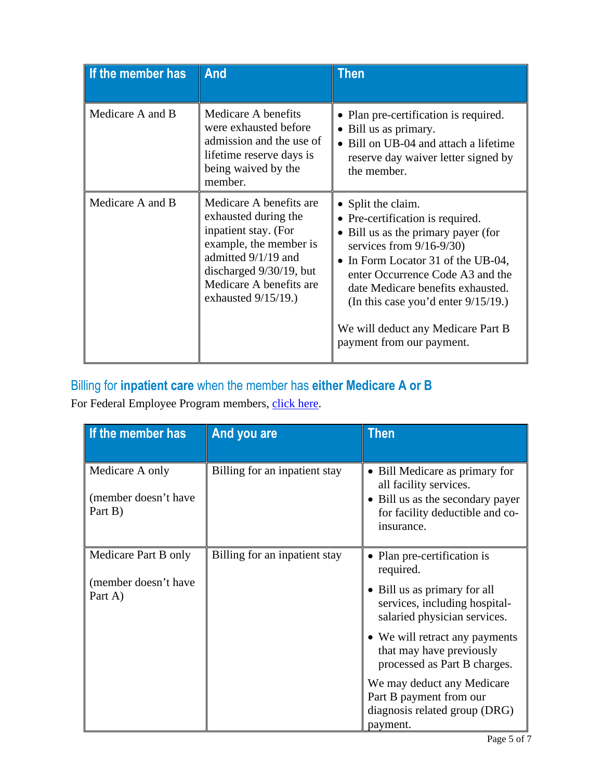| If the member has | And                                                                                                                                                                                                      | Then                                                                                                                                                                                                                                                                                                                                                            |
|-------------------|----------------------------------------------------------------------------------------------------------------------------------------------------------------------------------------------------------|-----------------------------------------------------------------------------------------------------------------------------------------------------------------------------------------------------------------------------------------------------------------------------------------------------------------------------------------------------------------|
| Medicare A and B  | Medicare A benefits<br>were exhausted before<br>admission and the use of<br>lifetime reserve days is<br>being waived by the<br>member.                                                                   | Plan pre-certification is required.<br>Bill us as primary.<br>$\bullet$<br>Bill on UB-04 and attach a lifetime<br>reserve day waiver letter signed by<br>the member.                                                                                                                                                                                            |
| Medicare A and B  | Medicare A benefits are<br>exhausted during the<br>inpatient stay. (For<br>example, the member is<br>admitted 9/1/19 and<br>discharged 9/30/19, but<br>Medicare A benefits are<br>exhausted $9/15/19$ .) | • Split the claim.<br>• Pre-certification is required.<br>Bill us as the primary payer (for<br>$\bullet$<br>services from $9/16-9/30$<br>In Form Locator 31 of the UB-04,<br>enter Occurrence Code A3 and the<br>date Medicare benefits exhausted.<br>(In this case you'd enter $9/15/19$ .)<br>We will deduct any Medicare Part B<br>payment from our payment. |

# <span id="page-4-0"></span>Billing for **inpatient care** when the member has **either Medicare A or B**

For Federal Employee Program members, [click here.](#page-5-0)

| If the member has                                  | And you are                   | <b>Then</b>                                                                                                                                              |
|----------------------------------------------------|-------------------------------|----------------------------------------------------------------------------------------------------------------------------------------------------------|
| Medicare A only<br>(member doesn't have<br>Part B) | Billing for an inpatient stay | • Bill Medicare as primary for<br>all facility services.<br>Bill us as the secondary payer<br>$\bullet$<br>for facility deductible and co-<br>insurance. |
| Medicare Part B only                               | Billing for an inpatient stay | Plan pre-certification is<br>required.                                                                                                                   |
| (member doesn't have<br>Part A)                    |                               | Bill us as primary for all<br>$\bullet$<br>services, including hospital-<br>salaried physician services.                                                 |
|                                                    |                               | • We will retract any payments<br>that may have previously<br>processed as Part B charges.                                                               |
|                                                    |                               | We may deduct any Medicare<br>Part B payment from our<br>diagnosis related group (DRG)<br>payment.                                                       |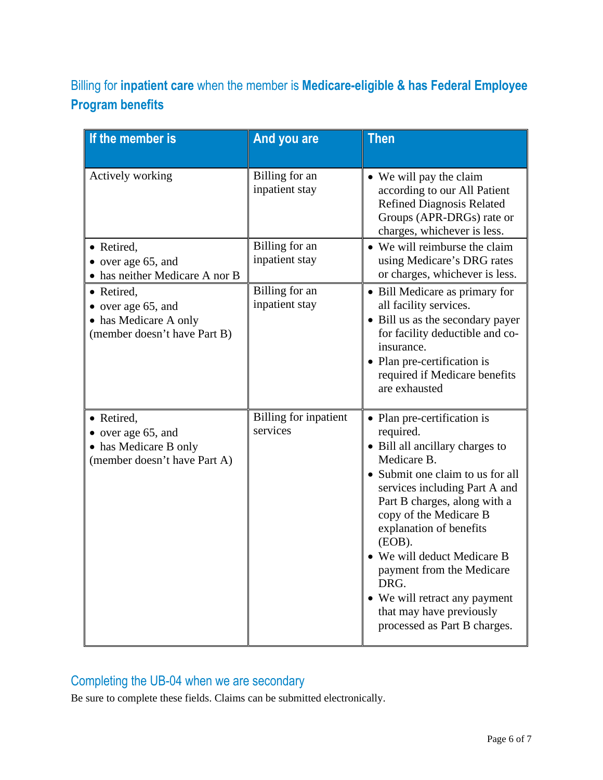# <span id="page-5-0"></span>Billing for **inpatient care** when the member is **Medicare-eligible & has Federal Employee Program benefits**

| If the member is                                                                          | And you are                              | <b>Then</b>                                                                                                                                                                                                                                                                                                                                                                                                                     |
|-------------------------------------------------------------------------------------------|------------------------------------------|---------------------------------------------------------------------------------------------------------------------------------------------------------------------------------------------------------------------------------------------------------------------------------------------------------------------------------------------------------------------------------------------------------------------------------|
| Actively working                                                                          | Billing for an<br>inpatient stay         | • We will pay the claim<br>according to our All Patient<br><b>Refined Diagnosis Related</b><br>Groups (APR-DRGs) rate or<br>charges, whichever is less.                                                                                                                                                                                                                                                                         |
| • Retired,<br>• over age 65, and<br>has neither Medicare A nor B                          | Billing for an<br>inpatient stay         | • We will reimburse the claim<br>using Medicare's DRG rates<br>or charges, whichever is less.                                                                                                                                                                                                                                                                                                                                   |
| • Retired,<br>over age 65, and<br>• has Medicare A only<br>(member doesn't have Part B)   | Billing for an<br>inpatient stay         | • Bill Medicare as primary for<br>all facility services.<br>• Bill us as the secondary payer<br>for facility deductible and co-<br>insurance.<br>• Plan pre-certification is<br>required if Medicare benefits<br>are exhausted                                                                                                                                                                                                  |
| • Retired,<br>• over age 65, and<br>• has Medicare B only<br>(member doesn't have Part A) | <b>Billing for inpatient</b><br>services | • Plan pre-certification is<br>required.<br>• Bill all ancillary charges to<br>Medicare B.<br>• Submit one claim to us for all<br>services including Part A and<br>Part B charges, along with a<br>copy of the Medicare B<br>explanation of benefits<br>(EOB).<br>• We will deduct Medicare B<br>payment from the Medicare<br>DRG.<br>• We will retract any payment<br>that may have previously<br>processed as Part B charges. |

# <span id="page-5-1"></span>Completing the UB-04 when we are secondary

Be sure to complete these fields. Claims can be submitted electronically.